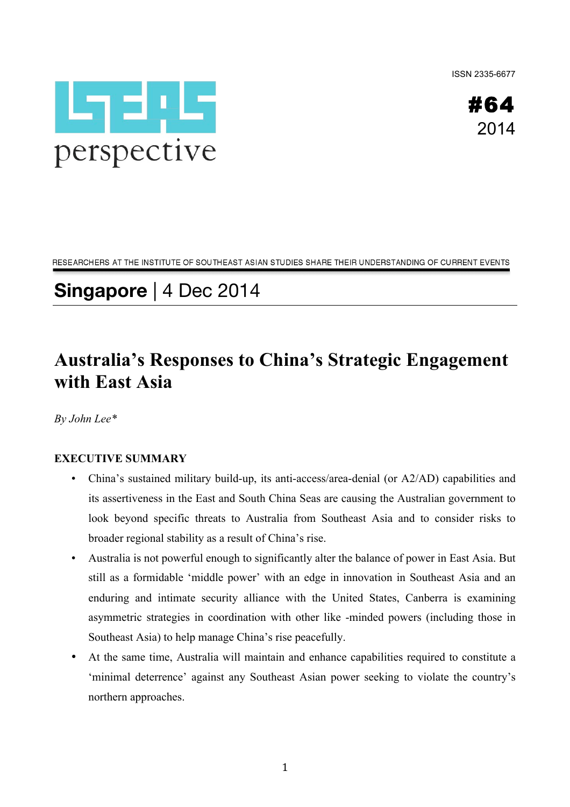ISSN 2335-6677





RESEARCHERS AT THE INSTITUTE OF SOUTHEAST ASIAN STUDIES SHARE THEIR UNDERSTANDING OF CURRENT EVENTS

# **Singapore** | 4 Dec 2014

## **Australia's Responses to China's Strategic Engagement with East Asia**

*By John Lee\**

### **EXECUTIVE SUMMARY**

- China's sustained military build-up, its anti-access/area-denial (or A2/AD) capabilities and its assertiveness in the East and South China Seas are causing the Australian government to look beyond specific threats to Australia from Southeast Asia and to consider risks to broader regional stability as a result of China's rise.
- Australia is not powerful enough to significantly alter the balance of power in East Asia. But still as a formidable 'middle power' with an edge in innovation in Southeast Asia and an enduring and intimate security alliance with the United States, Canberra is examining asymmetric strategies in coordination with other like -minded powers (including those in Southeast Asia) to help manage China's rise peacefully.
- At the same time, Australia will maintain and enhance capabilities required to constitute a 'minimal deterrence' against any Southeast Asian power seeking to violate the country's northern approaches.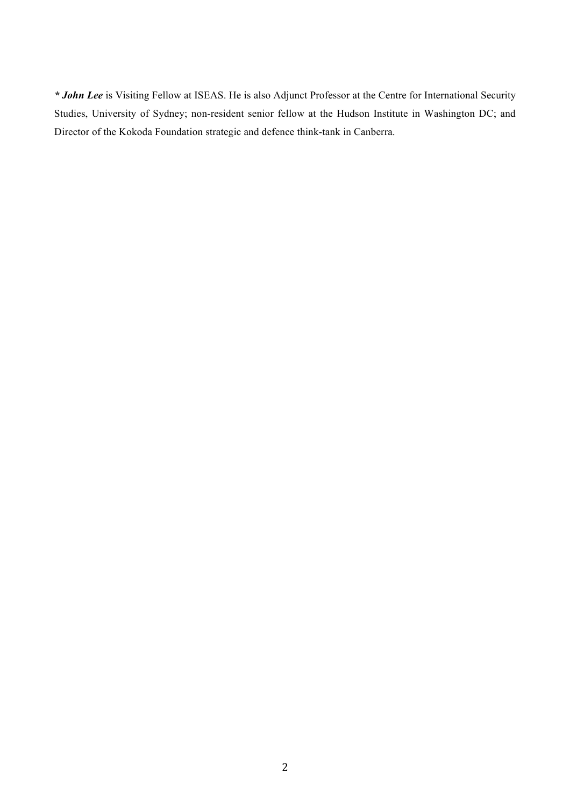*\* John Lee* is Visiting Fellow at ISEAS. He is also Adjunct Professor at the Centre for International Security Studies, University of Sydney; non-resident senior fellow at the Hudson Institute in Washington DC; and Director of the Kokoda Foundation strategic and defence think-tank in Canberra.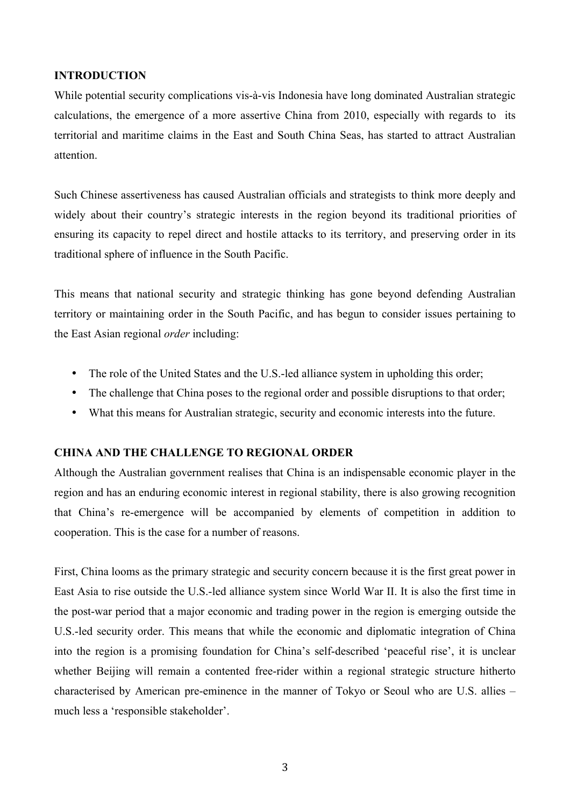#### **INTRODUCTION**

While potential security complications vis-à-vis Indonesia have long dominated Australian strategic calculations, the emergence of a more assertive China from 2010, especially with regards to its territorial and maritime claims in the East and South China Seas, has started to attract Australian attention.

Such Chinese assertiveness has caused Australian officials and strategists to think more deeply and widely about their country's strategic interests in the region beyond its traditional priorities of ensuring its capacity to repel direct and hostile attacks to its territory, and preserving order in its traditional sphere of influence in the South Pacific.

This means that national security and strategic thinking has gone beyond defending Australian territory or maintaining order in the South Pacific, and has begun to consider issues pertaining to the East Asian regional *order* including:

- The role of the United States and the U.S.-led alliance system in upholding this order;
- The challenge that China poses to the regional order and possible disruptions to that order;
- What this means for Australian strategic, security and economic interests into the future.

#### **CHINA AND THE CHALLENGE TO REGIONAL ORDER**

Although the Australian government realises that China is an indispensable economic player in the region and has an enduring economic interest in regional stability, there is also growing recognition that China's re-emergence will be accompanied by elements of competition in addition to cooperation. This is the case for a number of reasons.

First, China looms as the primary strategic and security concern because it is the first great power in East Asia to rise outside the U.S.-led alliance system since World War II. It is also the first time in the post-war period that a major economic and trading power in the region is emerging outside the U.S.-led security order. This means that while the economic and diplomatic integration of China into the region is a promising foundation for China's self-described 'peaceful rise', it is unclear whether Beijing will remain a contented free-rider within a regional strategic structure hitherto characterised by American pre-eminence in the manner of Tokyo or Seoul who are U.S. allies – much less a 'responsible stakeholder'.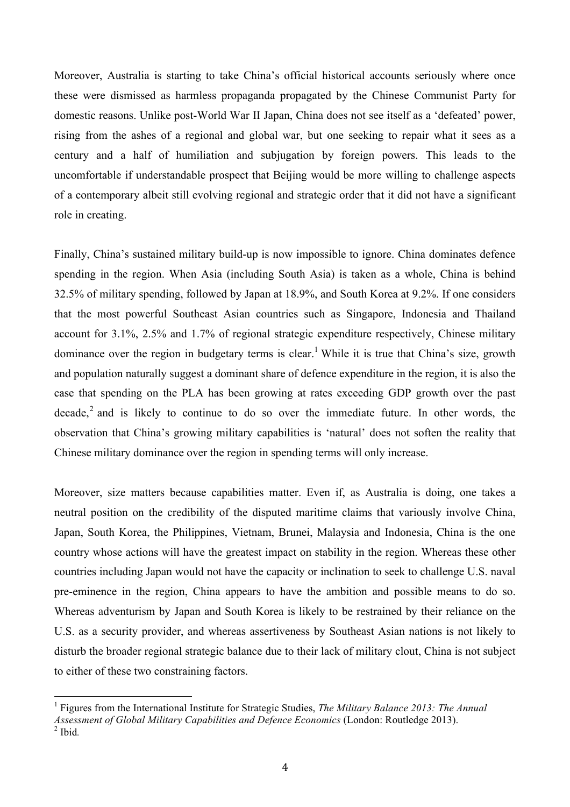Moreover, Australia is starting to take China's official historical accounts seriously where once these were dismissed as harmless propaganda propagated by the Chinese Communist Party for domestic reasons. Unlike post-World War II Japan, China does not see itself as a 'defeated' power, rising from the ashes of a regional and global war, but one seeking to repair what it sees as a century and a half of humiliation and subjugation by foreign powers. This leads to the uncomfortable if understandable prospect that Beijing would be more willing to challenge aspects of a contemporary albeit still evolving regional and strategic order that it did not have a significant role in creating.

Finally, China's sustained military build-up is now impossible to ignore. China dominates defence spending in the region. When Asia (including South Asia) is taken as a whole, China is behind 32.5% of military spending, followed by Japan at 18.9%, and South Korea at 9.2%. If one considers that the most powerful Southeast Asian countries such as Singapore, Indonesia and Thailand account for 3.1%, 2.5% and 1.7% of regional strategic expenditure respectively, Chinese military dominance over the region in budgetary terms is clear.<sup>1</sup> While it is true that China's size, growth and population naturally suggest a dominant share of defence expenditure in the region, it is also the case that spending on the PLA has been growing at rates exceeding GDP growth over the past decade,<sup>2</sup> and is likely to continue to do so over the immediate future. In other words, the observation that China's growing military capabilities is 'natural' does not soften the reality that Chinese military dominance over the region in spending terms will only increase.

Moreover, size matters because capabilities matter. Even if, as Australia is doing, one takes a neutral position on the credibility of the disputed maritime claims that variously involve China, Japan, South Korea, the Philippines, Vietnam, Brunei, Malaysia and Indonesia, China is the one country whose actions will have the greatest impact on stability in the region. Whereas these other countries including Japan would not have the capacity or inclination to seek to challenge U.S. naval pre-eminence in the region, China appears to have the ambition and possible means to do so. Whereas adventurism by Japan and South Korea is likely to be restrained by their reliance on the U.S. as a security provider, and whereas assertiveness by Southeast Asian nations is not likely to disturb the broader regional strategic balance due to their lack of military clout, China is not subject to either of these two constraining factors.

 <sup>1</sup> Figures from the International Institute for Strategic Studies, *The Military Balance 2013: The Annual Assessment of Global Military Capabilities and Defence Economics* (London: Routledge 2013). 2 Ibid*.*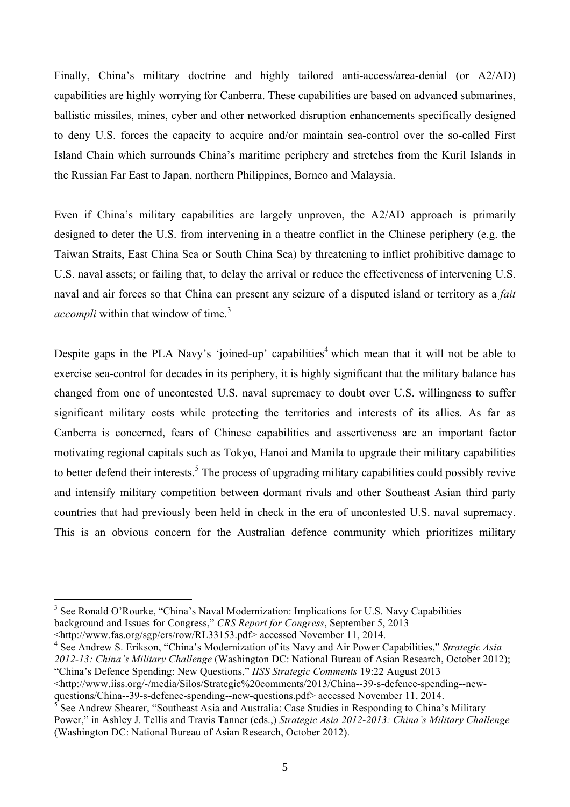Finally, China's military doctrine and highly tailored anti-access/area-denial (or A2/AD) capabilities are highly worrying for Canberra. These capabilities are based on advanced submarines, ballistic missiles, mines, cyber and other networked disruption enhancements specifically designed to deny U.S. forces the capacity to acquire and/or maintain sea-control over the so-called First Island Chain which surrounds China's maritime periphery and stretches from the Kuril Islands in the Russian Far East to Japan, northern Philippines, Borneo and Malaysia.

Even if China's military capabilities are largely unproven, the A2/AD approach is primarily designed to deter the U.S. from intervening in a theatre conflict in the Chinese periphery (e.g. the Taiwan Straits, East China Sea or South China Sea) by threatening to inflict prohibitive damage to U.S. naval assets; or failing that, to delay the arrival or reduce the effectiveness of intervening U.S. naval and air forces so that China can present any seizure of a disputed island or territory as a *fait accompli* within that window of time.<sup>3</sup>

Despite gaps in the PLA Navy's 'joined-up' capabilities<sup>4</sup> which mean that it will not be able to exercise sea-control for decades in its periphery, it is highly significant that the military balance has changed from one of uncontested U.S. naval supremacy to doubt over U.S. willingness to suffer significant military costs while protecting the territories and interests of its allies. As far as Canberra is concerned, fears of Chinese capabilities and assertiveness are an important factor motivating regional capitals such as Tokyo, Hanoi and Manila to upgrade their military capabilities to better defend their interests.<sup>5</sup> The process of upgrading military capabilities could possibly revive and intensify military competition between dormant rivals and other Southeast Asian third party countries that had previously been held in check in the era of uncontested U.S. naval supremacy. This is an obvious concern for the Australian defence community which prioritizes military

 $3$  See Ronald O'Rourke, "China's Naval Modernization: Implications for U.S. Navy Capabilities – background and Issues for Congress," *CRS Report for Congress*, September 5, 2013

<sup>&</sup>lt;http://www.fas.org/sgp/crs/row/RL33153.pdf> accessed November 11, 2014.

<sup>4</sup> See Andrew S. Erikson, "China's Modernization of its Navy and Air Power Capabilities," *Strategic Asia 2012-13: China's Military Challenge* (Washington DC: National Bureau of Asian Research, October 2012); "China's Defence Spending: New Questions," *IISS Strategic Comments* 19:22 August 2013

<sup>&</sup>lt;http://www.iiss.org/-/media/Silos/Strategic%20comments/2013/China--39-s-defence-spending--newquestions/China--39-s-defence-spending--new-questions.pdf> accessed November 11, 2014.

<sup>5</sup> See Andrew Shearer, "Southeast Asia and Australia: Case Studies in Responding to China's Military Power," in Ashley J. Tellis and Travis Tanner (eds.,) *Strategic Asia 2012-2013: China's Military Challenge* (Washington DC: National Bureau of Asian Research, October 2012).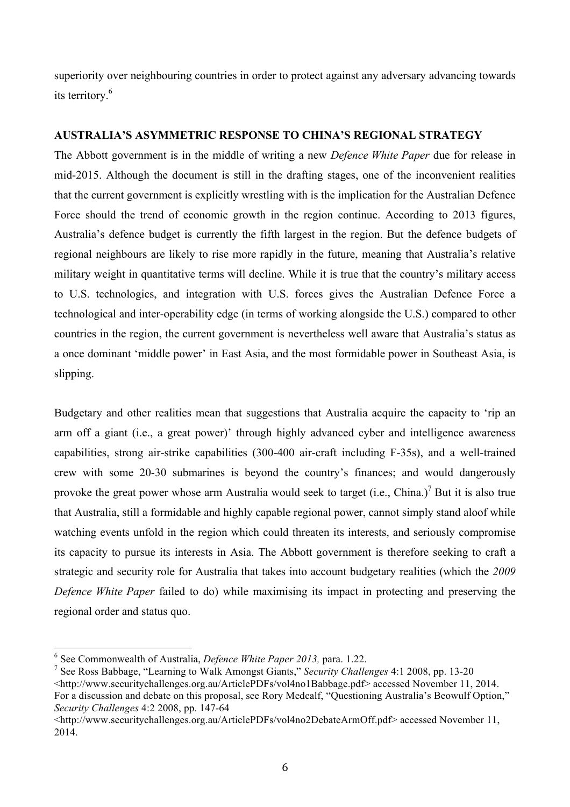superiority over neighbouring countries in order to protect against any adversary advancing towards its territory.6

#### **AUSTRALIA'S ASYMMETRIC RESPONSE TO CHINA'S REGIONAL STRATEGY**

The Abbott government is in the middle of writing a new *Defence White Paper* due for release in mid-2015. Although the document is still in the drafting stages, one of the inconvenient realities that the current government is explicitly wrestling with is the implication for the Australian Defence Force should the trend of economic growth in the region continue. According to 2013 figures, Australia's defence budget is currently the fifth largest in the region. But the defence budgets of regional neighbours are likely to rise more rapidly in the future, meaning that Australia's relative military weight in quantitative terms will decline. While it is true that the country's military access to U.S. technologies, and integration with U.S. forces gives the Australian Defence Force a technological and inter-operability edge (in terms of working alongside the U.S.) compared to other countries in the region, the current government is nevertheless well aware that Australia's status as a once dominant 'middle power' in East Asia, and the most formidable power in Southeast Asia, is slipping.

Budgetary and other realities mean that suggestions that Australia acquire the capacity to 'rip an arm off a giant (i.e., a great power)' through highly advanced cyber and intelligence awareness capabilities, strong air-strike capabilities (300-400 air-craft including F-35s), and a well-trained crew with some 20-30 submarines is beyond the country's finances; and would dangerously provoke the great power whose arm Australia would seek to target (i.e., China.)<sup>7</sup> But it is also true that Australia, still a formidable and highly capable regional power, cannot simply stand aloof while watching events unfold in the region which could threaten its interests, and seriously compromise its capacity to pursue its interests in Asia. The Abbott government is therefore seeking to craft a strategic and security role for Australia that takes into account budgetary realities (which the *2009 Defence White Paper* failed to do) while maximising its impact in protecting and preserving the regional order and status quo.

 <sup>6</sup> See Commonwealth of Australia, *Defence White Paper 2013,* para. 1.22.

<sup>7</sup> See Ross Babbage, "Learning to Walk Amongst Giants," *Security Challenges* 4:1 2008, pp. 13-20

<sup>&</sup>lt;http://www.securitychallenges.org.au/ArticlePDFs/vol4no1Babbage.pdf> accessed November 11, 2014. For a discussion and debate on this proposal, see Rory Medcalf, "Questioning Australia's Beowulf Option," *Security Challenges* 4:2 2008, pp. 147-64

<sup>&</sup>lt;http://www.securitychallenges.org.au/ArticlePDFs/vol4no2DebateArmOff.pdf> accessed November 11, 2014.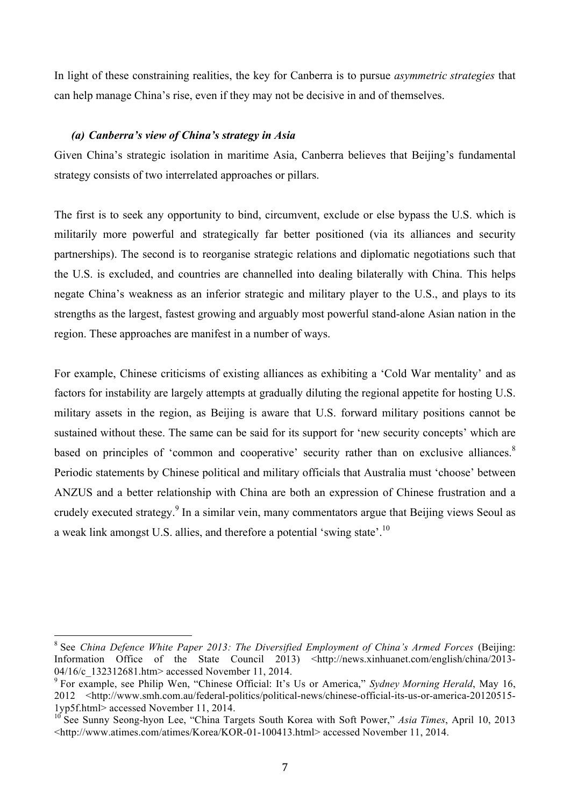In light of these constraining realities, the key for Canberra is to pursue *asymmetric strategies* that can help manage China's rise, even if they may not be decisive in and of themselves.

#### *(a) Canberra's view of China's strategy in Asia*

Given China's strategic isolation in maritime Asia, Canberra believes that Beijing's fundamental strategy consists of two interrelated approaches or pillars.

The first is to seek any opportunity to bind, circumvent, exclude or else bypass the U.S. which is militarily more powerful and strategically far better positioned (via its alliances and security partnerships). The second is to reorganise strategic relations and diplomatic negotiations such that the U.S. is excluded, and countries are channelled into dealing bilaterally with China. This helps negate China's weakness as an inferior strategic and military player to the U.S., and plays to its strengths as the largest, fastest growing and arguably most powerful stand-alone Asian nation in the region. These approaches are manifest in a number of ways.

For example, Chinese criticisms of existing alliances as exhibiting a 'Cold War mentality' and as factors for instability are largely attempts at gradually diluting the regional appetite for hosting U.S. military assets in the region, as Beijing is aware that U.S. forward military positions cannot be sustained without these. The same can be said for its support for 'new security concepts' which are based on principles of 'common and cooperative' security rather than on exclusive alliances.<sup>8</sup> Periodic statements by Chinese political and military officials that Australia must 'choose' between ANZUS and a better relationship with China are both an expression of Chinese frustration and a crudely executed strategy.<sup>9</sup> In a similar vein, many commentators argue that Beijing views Seoul as a weak link amongst U.S. allies, and therefore a potential 'swing state'.10

<sup>&</sup>lt;sup>8</sup> See *China Defence White Paper 2013: The Diversified Employment of China's Armed Forces (Beijing:* Information Office of the State Council 2013) <http://news.xinhuanet.com/english/china/2013-04/16/c 132312681.htm> accessed November 11, 2014.

<sup>9</sup> For example, see Philip Wen, "Chinese Official: It's Us or America," *Sydney Morning Herald*, May 16, 2012 <http://www.smh.com.au/federal-politics/political-news/chinese-official-its-us-or-america-20120515- 1yp5f.html> accessed November 11, 2014.

<sup>&</sup>lt;sup>10</sup> See Sunny Seong-hyon Lee, "China Targets South Korea with Soft Power," Asia Times, April 10, 2013 <http://www.atimes.com/atimes/Korea/KOR-01-100413.html> accessed November 11, 2014.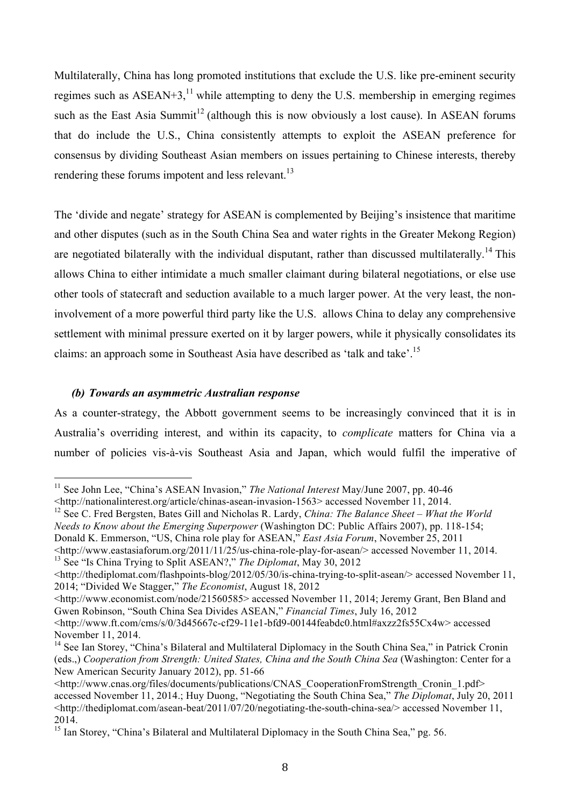Multilaterally, China has long promoted institutions that exclude the U.S. like pre-eminent security regimes such as  $\text{ASEAN}+3$ ,<sup>11</sup> while attempting to deny the U.S. membership in emerging regimes such as the East Asia Summit<sup>12</sup> (although this is now obviously a lost cause). In ASEAN forums that do include the U.S., China consistently attempts to exploit the ASEAN preference for consensus by dividing Southeast Asian members on issues pertaining to Chinese interests, thereby rendering these forums impotent and less relevant.<sup>13</sup>

The 'divide and negate' strategy for ASEAN is complemented by Beijing's insistence that maritime and other disputes (such as in the South China Sea and water rights in the Greater Mekong Region) are negotiated bilaterally with the individual disputant, rather than discussed multilaterally.<sup>14</sup> This allows China to either intimidate a much smaller claimant during bilateral negotiations, or else use other tools of statecraft and seduction available to a much larger power. At the very least, the noninvolvement of a more powerful third party like the U.S. allows China to delay any comprehensive settlement with minimal pressure exerted on it by larger powers, while it physically consolidates its claims: an approach some in Southeast Asia have described as 'talk and take'.15

#### *(b) Towards an asymmetric Australian response*

As a counter-strategy, the Abbott government seems to be increasingly convinced that it is in Australia's overriding interest, and within its capacity, to *complicate* matters for China via a number of policies vis-à-vis Southeast Asia and Japan, which would fulfil the imperative of

12 See C. Fred Bergsten, Bates Gill and Nicholas R. Lardy, *China: The Balance Sheet – What the World Needs to Know about the Emerging Superpower* (Washington DC: Public Affairs 2007), pp. 118-154; Donald K. Emmerson, "US, China role play for ASEAN," *East Asia Forum*, November 25, 2011

<sup>&</sup>lt;sup>11</sup> See John Lee, "China's ASEAN Invasion," *The National Interest* May/June 2007, pp. 40-46

<sup>&</sup>lt;http://nationalinterest.org/article/chinas-asean-invasion-1563> accessed November 11, 2014.

<sup>&</sup>lt;http://www.eastasiaforum.org/2011/11/25/us-china-role-play-for-asean/> accessed November 11, 2014. 13 See "Is China Trying to Split ASEAN?," *The Diplomat*, May 30, 2012

<sup>&</sup>lt;http://thediplomat.com/flashpoints-blog/2012/05/30/is-china-trying-to-split-asean/> accessed November 11, 2014; "Divided We Stagger," *The Economist*, August 18, 2012

<sup>&</sup>lt;http://www.economist.com/node/21560585> accessed November 11, 2014; Jeremy Grant, Ben Bland and Gwen Robinson, "South China Sea Divides ASEAN," *Financial Times*, July 16, 2012

<sup>&</sup>lt;http://www.ft.com/cms/s/0/3d45667c-cf29-11e1-bfd9-00144feabdc0.html#axzz2fs55Cx4w> accessed November 11, 2014.

<sup>&</sup>lt;sup>14</sup> See Ian Storey, "China's Bilateral and Multilateral Diplomacy in the South China Sea," in Patrick Cronin (eds.,) *Cooperation from Strength: United States, China and the South China Sea* (Washington: Center for a New American Security January 2012), pp. 51-66

<sup>&</sup>lt;http://www.cnas.org/files/documents/publications/CNAS\_CooperationFromStrength\_Cronin\_1.pdf> accessed November 11, 2014.; Huy Duong, "Negotiating the South China Sea," *The Diplomat*, July 20, 2011  $\leq$ http://thediplomat.com/asean-beat/2011/07/20/negotiating-the-south-china-sea/> accessed November 11, 2014.

<sup>&</sup>lt;sup>15</sup> Ian Storey, "China's Bilateral and Multilateral Diplomacy in the South China Sea," pg. 56.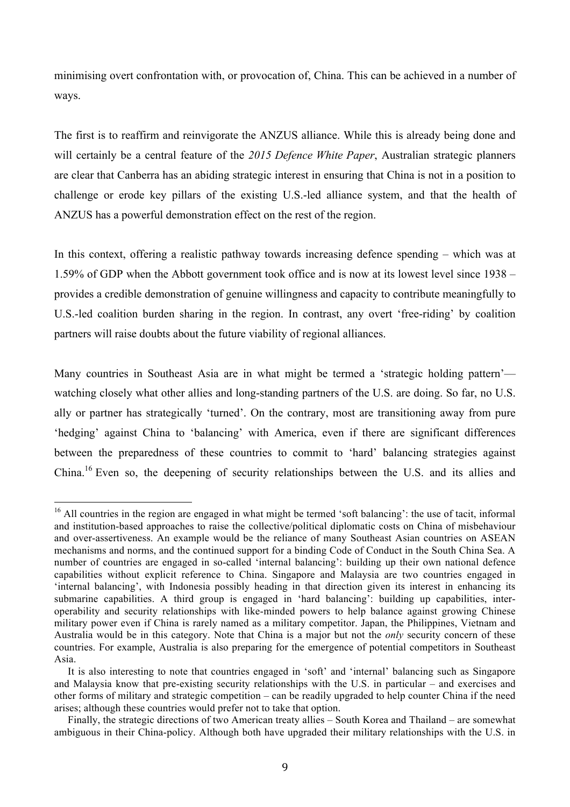minimising overt confrontation with, or provocation of, China. This can be achieved in a number of ways.

The first is to reaffirm and reinvigorate the ANZUS alliance. While this is already being done and will certainly be a central feature of the *2015 Defence White Paper*, Australian strategic planners are clear that Canberra has an abiding strategic interest in ensuring that China is not in a position to challenge or erode key pillars of the existing U.S.-led alliance system, and that the health of ANZUS has a powerful demonstration effect on the rest of the region.

In this context, offering a realistic pathway towards increasing defence spending – which was at 1.59% of GDP when the Abbott government took office and is now at its lowest level since 1938 – provides a credible demonstration of genuine willingness and capacity to contribute meaningfully to U.S.-led coalition burden sharing in the region. In contrast, any overt 'free-riding' by coalition partners will raise doubts about the future viability of regional alliances.

Many countries in Southeast Asia are in what might be termed a 'strategic holding pattern' watching closely what other allies and long-standing partners of the U.S. are doing. So far, no U.S. ally or partner has strategically 'turned'. On the contrary, most are transitioning away from pure 'hedging' against China to 'balancing' with America, even if there are significant differences between the preparedness of these countries to commit to 'hard' balancing strategies against China.<sup>16</sup> Even so, the deepening of security relationships between the U.S. and its allies and

<sup>&</sup>lt;sup>16</sup> All countries in the region are engaged in what might be termed 'soft balancing': the use of tacit, informal and institution-based approaches to raise the collective/political diplomatic costs on China of misbehaviour and over-assertiveness. An example would be the reliance of many Southeast Asian countries on ASEAN mechanisms and norms, and the continued support for a binding Code of Conduct in the South China Sea. A number of countries are engaged in so-called 'internal balancing': building up their own national defence capabilities without explicit reference to China. Singapore and Malaysia are two countries engaged in 'internal balancing', with Indonesia possibly heading in that direction given its interest in enhancing its submarine capabilities. A third group is engaged in 'hard balancing': building up capabilities, interoperability and security relationships with like-minded powers to help balance against growing Chinese military power even if China is rarely named as a military competitor. Japan, the Philippines, Vietnam and Australia would be in this category. Note that China is a major but not the *only* security concern of these countries. For example, Australia is also preparing for the emergence of potential competitors in Southeast Asia.

It is also interesting to note that countries engaged in 'soft' and 'internal' balancing such as Singapore and Malaysia know that pre-existing security relationships with the U.S. in particular – and exercises and other forms of military and strategic competition – can be readily upgraded to help counter China if the need arises; although these countries would prefer not to take that option.

Finally, the strategic directions of two American treaty allies – South Korea and Thailand – are somewhat ambiguous in their China-policy. Although both have upgraded their military relationships with the U.S. in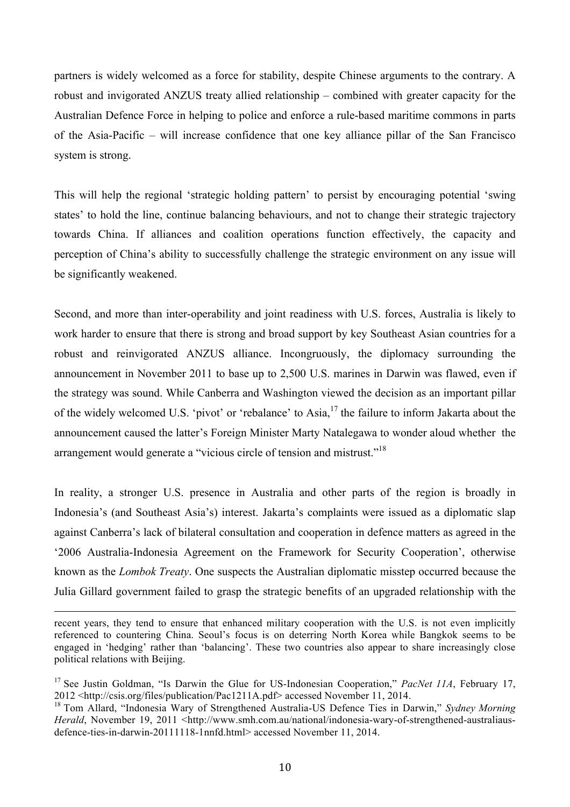partners is widely welcomed as a force for stability, despite Chinese arguments to the contrary. A robust and invigorated ANZUS treaty allied relationship – combined with greater capacity for the Australian Defence Force in helping to police and enforce a rule-based maritime commons in parts of the Asia-Pacific – will increase confidence that one key alliance pillar of the San Francisco system is strong.

This will help the regional 'strategic holding pattern' to persist by encouraging potential 'swing states' to hold the line, continue balancing behaviours, and not to change their strategic trajectory towards China. If alliances and coalition operations function effectively, the capacity and perception of China's ability to successfully challenge the strategic environment on any issue will be significantly weakened.

Second, and more than inter-operability and joint readiness with U.S. forces, Australia is likely to work harder to ensure that there is strong and broad support by key Southeast Asian countries for a robust and reinvigorated ANZUS alliance. Incongruously, the diplomacy surrounding the announcement in November 2011 to base up to 2,500 U.S. marines in Darwin was flawed, even if the strategy was sound. While Canberra and Washington viewed the decision as an important pillar of the widely welcomed U.S. 'pivot' or 'rebalance' to Asia,<sup>17</sup> the failure to inform Jakarta about the announcement caused the latter's Foreign Minister Marty Natalegawa to wonder aloud whether the arrangement would generate a "vicious circle of tension and mistrust."<sup>18</sup>

In reality, a stronger U.S. presence in Australia and other parts of the region is broadly in Indonesia's (and Southeast Asia's) interest. Jakarta's complaints were issued as a diplomatic slap against Canberra's lack of bilateral consultation and cooperation in defence matters as agreed in the '2006 Australia-Indonesia Agreement on the Framework for Security Cooperation', otherwise known as the *Lombok Treaty*. One suspects the Australian diplomatic misstep occurred because the Julia Gillard government failed to grasp the strategic benefits of an upgraded relationship with the

recent years, they tend to ensure that enhanced military cooperation with the U.S. is not even implicitly referenced to countering China. Seoul's focus is on deterring North Korea while Bangkok seems to be engaged in 'hedging' rather than 'balancing'. These two countries also appear to share increasingly close political relations with Beijing.

<u> 1989 - Andrea San Andrea San Andrea San Andrea San Andrea San Andrea San Andrea San Andrea San Andrea San An</u>

<sup>&</sup>lt;sup>17</sup> See Justin Goldman, "Is Darwin the Glue for US-Indonesian Cooperation," *PacNet 11A*, February 17, 2012 <http://csis.org/files/publication/Pac1211A.pdf> accessed November 11, 2014.

<sup>18</sup> Tom Allard, "Indonesia Wary of Strengthened Australia-US Defence Ties in Darwin," *Sydney Morning Herald*, November 19, 2011 <http://www.smh.com.au/national/indonesia-wary-of-strengthened-australiausdefence-ties-in-darwin-20111118-1nnfd.html> accessed November 11, 2014.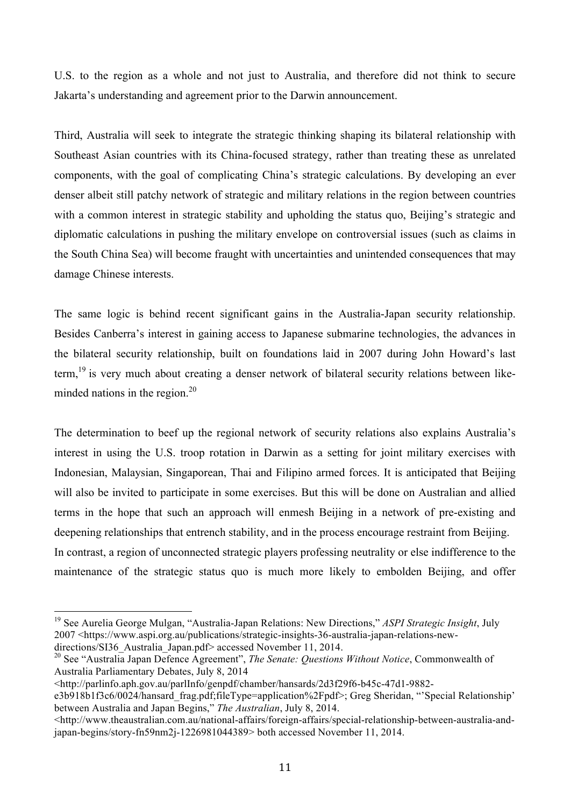U.S. to the region as a whole and not just to Australia, and therefore did not think to secure Jakarta's understanding and agreement prior to the Darwin announcement.

Third, Australia will seek to integrate the strategic thinking shaping its bilateral relationship with Southeast Asian countries with its China-focused strategy, rather than treating these as unrelated components, with the goal of complicating China's strategic calculations. By developing an ever denser albeit still patchy network of strategic and military relations in the region between countries with a common interest in strategic stability and upholding the status quo, Beijing's strategic and diplomatic calculations in pushing the military envelope on controversial issues (such as claims in the South China Sea) will become fraught with uncertainties and unintended consequences that may damage Chinese interests.

The same logic is behind recent significant gains in the Australia-Japan security relationship. Besides Canberra's interest in gaining access to Japanese submarine technologies, the advances in the bilateral security relationship, built on foundations laid in 2007 during John Howard's last term,<sup>19</sup> is very much about creating a denser network of bilateral security relations between likeminded nations in the region. $^{20}$ 

The determination to beef up the regional network of security relations also explains Australia's interest in using the U.S. troop rotation in Darwin as a setting for joint military exercises with Indonesian, Malaysian, Singaporean, Thai and Filipino armed forces. It is anticipated that Beijing will also be invited to participate in some exercises. But this will be done on Australian and allied terms in the hope that such an approach will enmesh Beijing in a network of pre-existing and deepening relationships that entrench stability, and in the process encourage restraint from Beijing. In contrast, a region of unconnected strategic players professing neutrality or else indifference to the maintenance of the strategic status quo is much more likely to embolden Beijing, and offer

<http://parlinfo.aph.gov.au/parlInfo/genpdf/chamber/hansards/2d3f29f6-b45c-47d1-9882-

 19 See Aurelia George Mulgan, "Australia-Japan Relations: New Directions," *ASPI Strategic Insight*, July 2007 <https://www.aspi.org.au/publications/strategic-insights-36-australia-japan-relations-newdirections/SI36 Australia Japan.pdf> accessed November 11, 2014.

<sup>&</sup>lt;sup>20</sup> See "Australia Japan Defence Agreement", *The Senate: Questions Without Notice*, Commonwealth of Australia Parliamentary Debates, July 8, 2014

e3b918b1f3c6/0024/hansard\_frag.pdf;fileType=application%2Fpdf>; Greg Sheridan, "'Special Relationship' between Australia and Japan Begins," *The Australian*, July 8, 2014.

<sup>&</sup>lt;http://www.theaustralian.com.au/national-affairs/foreign-affairs/special-relationship-between-australia-andjapan-begins/story-fn59nm2j-1226981044389> both accessed November 11, 2014.